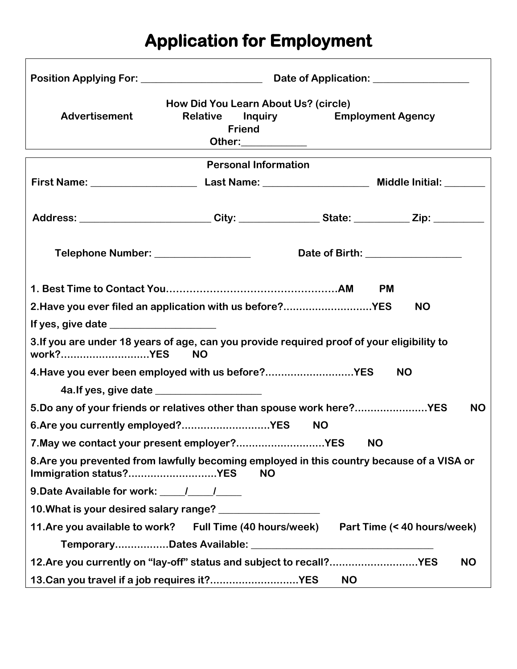## **Application for Employment**

 $\lceil$ 

| <b>Advertisement</b>                                                                                                             | How Did You Learn About Us? (circle)<br><b>Relative Inquiry</b><br><b>Employment Agency</b><br><b>Friend</b> |  |                                                                                                      |  |
|----------------------------------------------------------------------------------------------------------------------------------|--------------------------------------------------------------------------------------------------------------|--|------------------------------------------------------------------------------------------------------|--|
|                                                                                                                                  | <b>Personal Information</b>                                                                                  |  |                                                                                                      |  |
|                                                                                                                                  |                                                                                                              |  |                                                                                                      |  |
|                                                                                                                                  |                                                                                                              |  | Address: _________________________City: ________________State: ___________Zip: _____________________ |  |
|                                                                                                                                  |                                                                                                              |  | Date of Birth: __________________                                                                    |  |
|                                                                                                                                  |                                                                                                              |  | <b>PM</b>                                                                                            |  |
| 2. Have you ever filed an application with us before?YES                                                                         |                                                                                                              |  | <b>NO</b>                                                                                            |  |
|                                                                                                                                  |                                                                                                              |  |                                                                                                      |  |
| 3. If you are under 18 years of age, can you provide required proof of your eligibility to<br>work?YES                           | <b>NO</b>                                                                                                    |  |                                                                                                      |  |
| 4. Have you ever been employed with us before?YES                                                                                |                                                                                                              |  | <b>NO</b>                                                                                            |  |
|                                                                                                                                  |                                                                                                              |  |                                                                                                      |  |
| 5. Do any of your friends or relatives other than spouse work here?YES<br><b>NO</b>                                              |                                                                                                              |  |                                                                                                      |  |
| 6. Are you currently employed?YES<br><b>NO</b>                                                                                   |                                                                                                              |  |                                                                                                      |  |
| 7. May we contact your present employer?YES<br><b>NO</b>                                                                         |                                                                                                              |  |                                                                                                      |  |
| 8. Are you prevented from lawfully becoming employed in this country because of a VISA or<br>Immigration status?YES<br><b>NO</b> |                                                                                                              |  |                                                                                                      |  |
| 9. Date Available for work: \[\sqrtdgg \]                                                                                        |                                                                                                              |  |                                                                                                      |  |
|                                                                                                                                  |                                                                                                              |  |                                                                                                      |  |
| 11. Are you available to work? Full Time (40 hours/week) Part Time (< 40 hours/week)                                             |                                                                                                              |  |                                                                                                      |  |
|                                                                                                                                  |                                                                                                              |  |                                                                                                      |  |
| 12.Are you currently on "lay-off" status and subject to recall?YES<br><b>NO</b>                                                  |                                                                                                              |  |                                                                                                      |  |
| 13. Can you travel if a job requires it?YES<br><b>NO</b>                                                                         |                                                                                                              |  |                                                                                                      |  |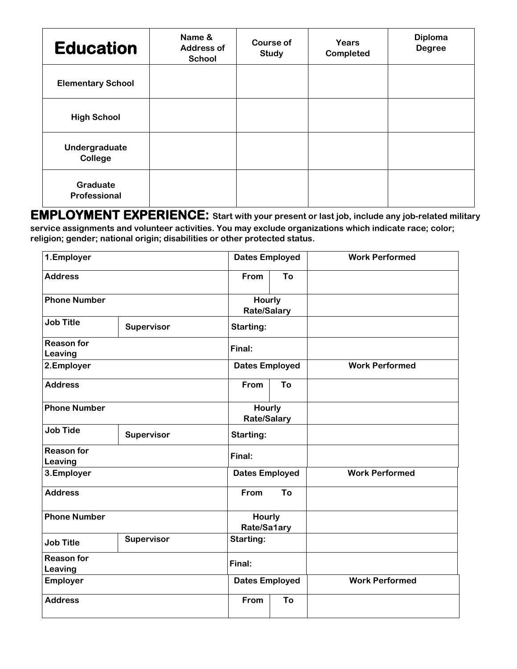| <b>Education</b>                | Name &<br><b>Address of</b><br><b>School</b> | <b>Course of</b><br><b>Study</b> | Years<br>Completed | <b>Diploma</b><br><b>Degree</b> |
|---------------------------------|----------------------------------------------|----------------------------------|--------------------|---------------------------------|
| <b>Elementary School</b>        |                                              |                                  |                    |                                 |
| <b>High School</b>              |                                              |                                  |                    |                                 |
| Undergraduate<br><b>College</b> |                                              |                                  |                    |                                 |
| Graduate<br>Professional        |                                              |                                  |                    |                                 |

**EMPLOYMENT EXPERIENCE: Start with your present or last job, include any job-related military service assignments and volunteer activities. You may exclude organizations which indicate race; color; religion; gender; national origin; disabilities or other protected status.** 

| 1.Employer                   |            |                                     | <b>Dates Employed</b><br><b>Work Performed</b> |                       |
|------------------------------|------------|-------------------------------------|------------------------------------------------|-----------------------|
| <b>Address</b>               |            | From                                | To                                             |                       |
| <b>Phone Number</b>          |            | Hourly<br><b>Rate/Salary</b>        |                                                |                       |
| <b>Job Title</b>             | Supervisor | Starting:                           |                                                |                       |
| <b>Reason for</b><br>Leaving |            | Final:                              |                                                |                       |
| 2.Employer                   |            | <b>Dates Employed</b>               |                                                | <b>Work Performed</b> |
| <b>Address</b>               |            | From                                | To                                             |                       |
| <b>Phone Number</b>          |            | <b>Hourly</b><br><b>Rate/Salary</b> |                                                |                       |
| <b>Job Tide</b>              | Supervisor | <b>Starting:</b>                    |                                                |                       |
| <b>Reason for</b><br>Leaving |            | Final:                              |                                                |                       |
| 3.Employer                   |            | <b>Dates Employed</b>               |                                                | <b>Work Performed</b> |
| <b>Address</b>               |            | From                                | To                                             |                       |
| <b>Phone Number</b>          |            | Hourly<br>Rate/Sa1ary               |                                                |                       |
| <b>Job Title</b>             | Supervisor | <b>Starting:</b>                    |                                                |                       |
| <b>Reason for</b><br>Leaving |            | Final:                              |                                                |                       |
| Employer                     |            | <b>Dates Employed</b>               |                                                | <b>Work Performed</b> |
| <b>Address</b>               |            | From                                | To                                             |                       |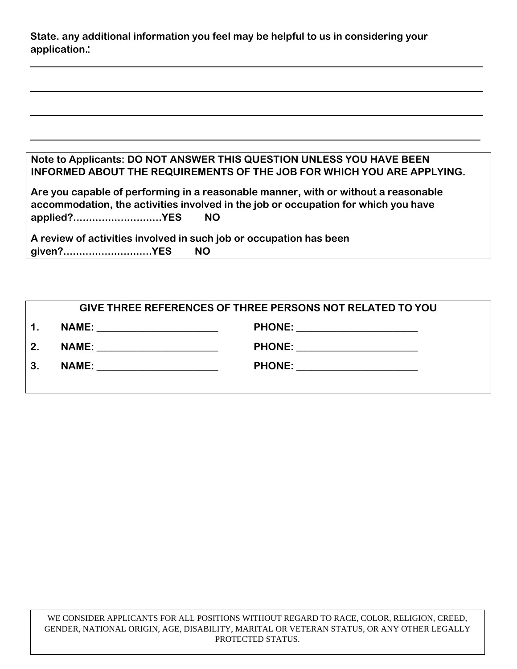| State, any additional information you feel may be helpful to us in considering your |  |
|-------------------------------------------------------------------------------------|--|
| application.                                                                        |  |

| Note to Applicants: DO NOT ANSWER THIS QUESTION UNLESS YOU HAVE BEEN   |
|------------------------------------------------------------------------|
| INFORMED ABOUT THE REQUIREMENTS OF THE JOB FOR WHICH YOU ARE APPLYING. |

|             | Are you capable of performing in a reasonable manner, with or without a reasonable |
|-------------|------------------------------------------------------------------------------------|
|             | accommodation, the activities involved in the job or occupation for which you have |
| applied?YES | NO.                                                                                |

**A review of activities involved in such job or occupation has been given?............................YES NO**

| <b>GIVE THREE REFERENCES OF THREE PERSONS NOT RELATED TO YOU</b> |  |                               |  |
|------------------------------------------------------------------|--|-------------------------------|--|
| $\mathbf 1$ .                                                    |  | PHONE: ______________________ |  |
| 2.                                                               |  | PHONE: _____________________  |  |
| 3.                                                               |  | PHONE: ______________________ |  |
|                                                                  |  |                               |  |